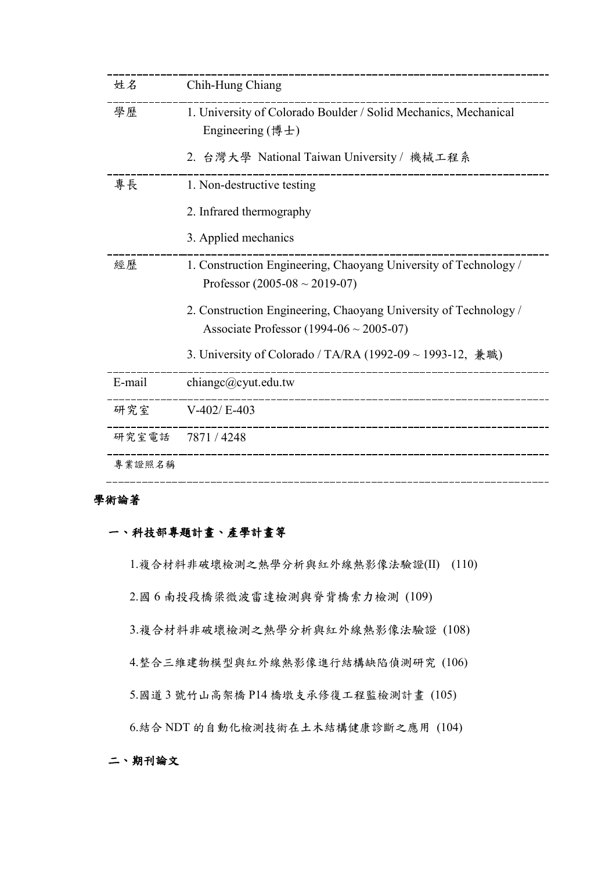| 姓名     | Chih-Hung Chiang                                                                                                 |
|--------|------------------------------------------------------------------------------------------------------------------|
| 學歷     | 1. University of Colorado Boulder / Solid Mechanics, Mechanical<br>Engineering $($ 博士)                           |
|        | 2. 台灣大學 National Taiwan University / 機械工程系                                                                       |
| 專長     | 1. Non-destructive testing                                                                                       |
|        | 2. Infrared thermography                                                                                         |
|        | 3. Applied mechanics                                                                                             |
| 經歷     | 1. Construction Engineering, Chaoyang University of Technology /<br>Professor $(2005-08 \sim 2019-07)$           |
|        | 2. Construction Engineering, Chaoyang University of Technology /<br>Associate Professor (1994-06 $\sim$ 2005-07) |
|        | 3. University of Colorado / TA/RA (1992-09 ~ 1993-12, 兼職)                                                        |
| E-mail | chiangc@cyut.edu.tw                                                                                              |
| 研究室    | $V-402/E-403$                                                                                                    |
| 研究室電話  | 7871/4248                                                                                                        |
| 專業證照名稱 |                                                                                                                  |

# 學術論著

# 一、科技部專題計畫、產學計畫等

1.複合材料非破壞檢測之熱學分析與紅外線熱影像法驗證(II) (110)

2.國 6 南投段橋梁微波雷達檢測與脊背橋索力檢測 (109)

3.複合材料非破壞檢測之熱學分析與紅外線熱影像法驗證 (108)

4.整合三維建物模型與紅外線熱影像進行結構缺陷偵測研究 (106)

5.國道 3 號竹山高架橋 P14 橋墩支承修復工程監檢測計畫 (105)

6.結合 NDT 的自動化檢測技術在土木結構健康診斷之應用 (104)

# 二、期刊論文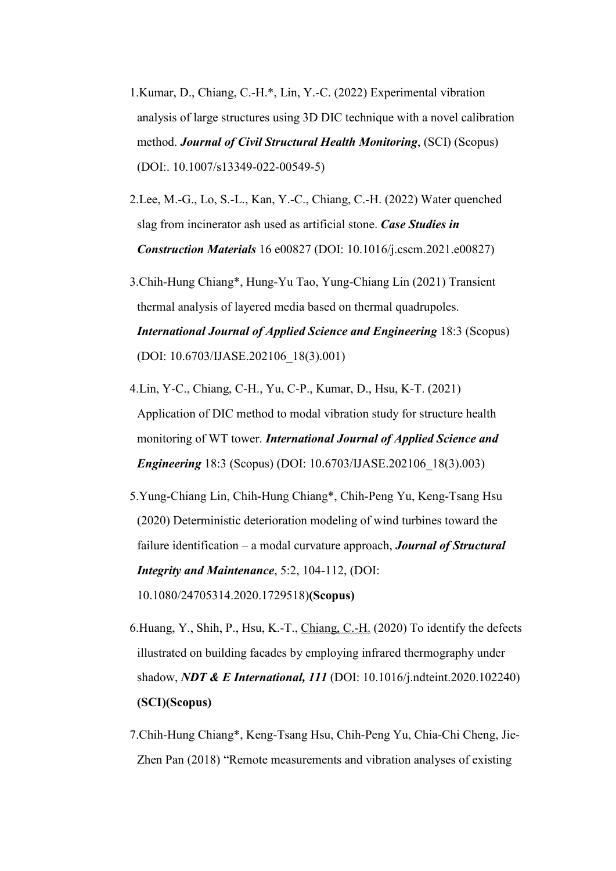1.Kumar, D., Chiang, C.-H.\*, Lin, Y.-C. (2022) Experimental vibration analysis of large structures using 3D DIC technique with a novel calibration method. *Journal of Civil Structural Health Monitoring*, (SCI) (Scopus) (DOI:. 10.1007/s13349-022-00549-5)

- 2.Lee, M.-G., Lo, S.-L., Kan, Y.-C., Chiang, C.-H. (2022) Water quenched slag from incinerator ash used as artificial stone. *Case Studies in Construction Materials* 16 e00827 (DOI: 10.1016/j.cscm.2021.e00827)
- 3.Chih-Hung Chiang\*, Hung-Yu Tao, Yung-Chiang Lin (2021) Transient thermal analysis of layered media based on thermal quadrupoles. *International Journal of Applied Science and Engineering* 18:3 (Scopus) (DOI: 10.6703/IJASE.202106\_18(3).001)
- 4.Lin, Y-C., Chiang, C-H., Yu, C-P., Kumar, D., Hsu, K-T. (2021) Application of DIC method to modal vibration study for structure health monitoring of WT tower. *International Journal of Applied Science and Engineering* 18:3 (Scopus) (DOI: 10.6703/IJASE.202106\_18(3).003)
- 5.Yung-Chiang Lin, Chih-Hung Chiang\*, Chih-Peng Yu, Keng-Tsang Hsu (2020) Deterministic deterioration modeling of wind turbines toward the failure identification – a modal curvature approach, *Journal of Structural Integrity and Maintenance*, 5:2, 104-112, (DOI: 10.1080/24705314.2020.1729518)**(Scopus)**
- 6.Huang, Y., Shih, P., Hsu, K.-T., Chiang, C.-H. (2020) To identify the defects illustrated on building facades by employing infrared thermography under shadow, *NDT & E International, 111* (DOI: 10.1016/j.ndteint.2020.102240) **(SCI)(Scopus)**
- 7.Chih-Hung Chiang\*, Keng-Tsang Hsu, Chih-Peng Yu, Chia-Chi Cheng, Jie-Zhen Pan (2018) "Remote measurements and vibration analyses of existing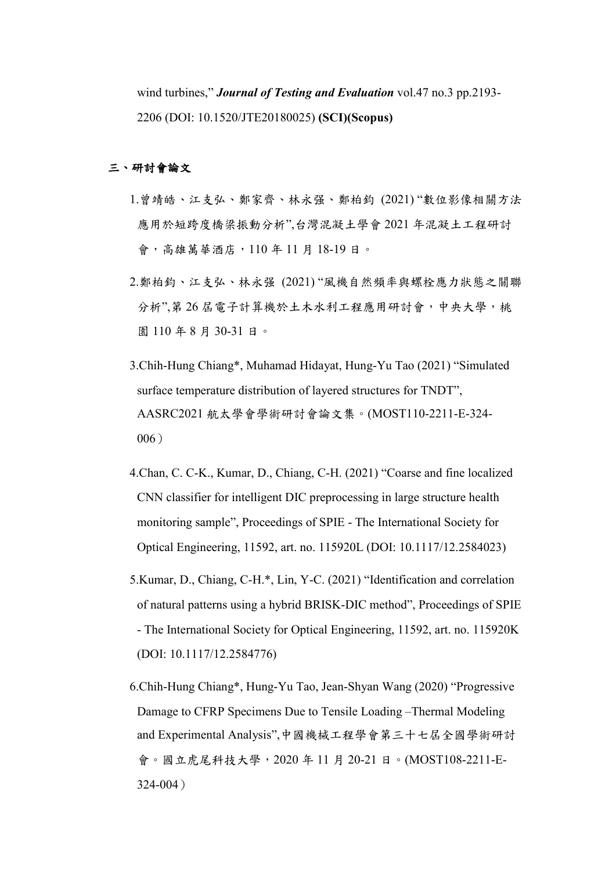wind turbines," *Journal of Testing and Evaluation* vol.47 no.3 pp.2193- 2206 (DOI: 10.1520/JTE20180025) **(SCI)(Scopus)**

### 三、研討會論文

- 1.曾靖皓、江支弘、鄭家齊、林永强、鄭柏鈞 (2021) "數位影像相關方法 應用於短跨度橋梁振動分析",台灣混凝土學會 2021 年混凝土工程研討 會,高雄萬華酒店,110 年 11 月 18-19 日。
- 2.鄭柏鈞、江支弘、林永强 (2021) "風機自然頻率與螺栓應力狀態之關聯 分析",第26 屆電子計算機於土木水利工程應用研討會,中央大學,桃 園 110 年 8 月 30-31 日。
- 3.Chih-Hung Chiang\*, Muhamad Hidayat, Hung-Yu Tao (2021) "Simulated surface temperature distribution of layered structures for TNDT", AASRC2021 航太學會學術研討會論文集。(MOST110-2211-E-324- 006)
- 4.Chan, C. C-K., Kumar, D., Chiang, C-H. (2021) "Coarse and fine localized CNN classifier for intelligent DIC preprocessing in large structure health monitoring sample", Proceedings of SPIE - The International Society for Optical Engineering, 11592, art. no. 115920L (DOI: 10.1117/12.2584023)
- 5.Kumar, D., Chiang, C-H.\*, Lin, Y-C. (2021) "Identification and correlation of natural patterns using a hybrid BRISK-DIC method", Proceedings of SPIE - The International Society for Optical Engineering, 11592, art. no. 115920K (DOI: 10.1117/12.2584776)
- 6.Chih-Hung Chiang\*, Hung-Yu Tao, Jean-Shyan Wang (2020) "Progressive Damage to CFRP Specimens Due to Tensile Loading –Thermal Modeling and Experimental Analysis",中國機械工程學會第三十七屆全國學術研討 會。國立虎尾科技大學,2020 年 11 月 20-21 日。(MOST108-2211-E-324-004)